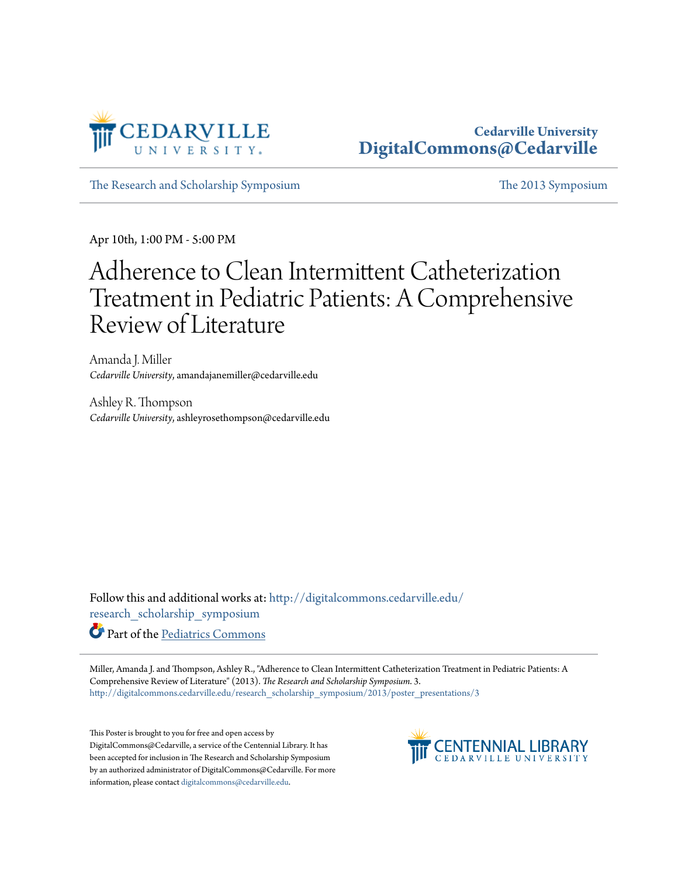

## **Cedarville University [DigitalCommons@Cedarville](http://digitalcommons.cedarville.edu?utm_source=digitalcommons.cedarville.edu%2Fresearch_scholarship_symposium%2F2013%2Fposter_presentations%2F3&utm_medium=PDF&utm_campaign=PDFCoverPages)**

[The Research and Scholarship Symposium](http://digitalcommons.cedarville.edu/research_scholarship_symposium?utm_source=digitalcommons.cedarville.edu%2Fresearch_scholarship_symposium%2F2013%2Fposter_presentations%2F3&utm_medium=PDF&utm_campaign=PDFCoverPages) [The 2013 Symposium](http://digitalcommons.cedarville.edu/research_scholarship_symposium/2013?utm_source=digitalcommons.cedarville.edu%2Fresearch_scholarship_symposium%2F2013%2Fposter_presentations%2F3&utm_medium=PDF&utm_campaign=PDFCoverPages)

Apr 10th, 1:00 PM - 5:00 PM

## Adherence to Clean Intermittent Catheterization Treatment in Pediatric Patients: A Comprehensive Review of Literature

Amanda J. Miller *Cedarville University*, amandajanemiller@cedarville.edu

Ashley R. Thompson *Cedarville University*, ashleyrosethompson@cedarville.edu

Follow this and additional works at: [http://digitalcommons.cedarville.edu/](http://digitalcommons.cedarville.edu/research_scholarship_symposium?utm_source=digitalcommons.cedarville.edu%2Fresearch_scholarship_symposium%2F2013%2Fposter_presentations%2F3&utm_medium=PDF&utm_campaign=PDFCoverPages) [research\\_scholarship\\_symposium](http://digitalcommons.cedarville.edu/research_scholarship_symposium?utm_source=digitalcommons.cedarville.edu%2Fresearch_scholarship_symposium%2F2013%2Fposter_presentations%2F3&utm_medium=PDF&utm_campaign=PDFCoverPages)

Part of the [Pediatrics Commons](http://network.bepress.com/hgg/discipline/700?utm_source=digitalcommons.cedarville.edu%2Fresearch_scholarship_symposium%2F2013%2Fposter_presentations%2F3&utm_medium=PDF&utm_campaign=PDFCoverPages)

Miller, Amanda J. and Thompson, Ashley R., "Adherence to Clean Intermittent Catheterization Treatment in Pediatric Patients: A Comprehensive Review of Literature" (2013). *The Research and Scholarship Symposium*. 3. [http://digitalcommons.cedarville.edu/research\\_scholarship\\_symposium/2013/poster\\_presentations/3](http://digitalcommons.cedarville.edu/research_scholarship_symposium/2013/poster_presentations/3?utm_source=digitalcommons.cedarville.edu%2Fresearch_scholarship_symposium%2F2013%2Fposter_presentations%2F3&utm_medium=PDF&utm_campaign=PDFCoverPages)

This Poster is brought to you for free and open access by DigitalCommons@Cedarville, a service of the Centennial Library. It has been accepted for inclusion in The Research and Scholarship Symposium by an authorized administrator of DigitalCommons@Cedarville. For more information, please contact [digitalcommons@cedarville.edu.](mailto:digitalcommons@cedarville.edu)